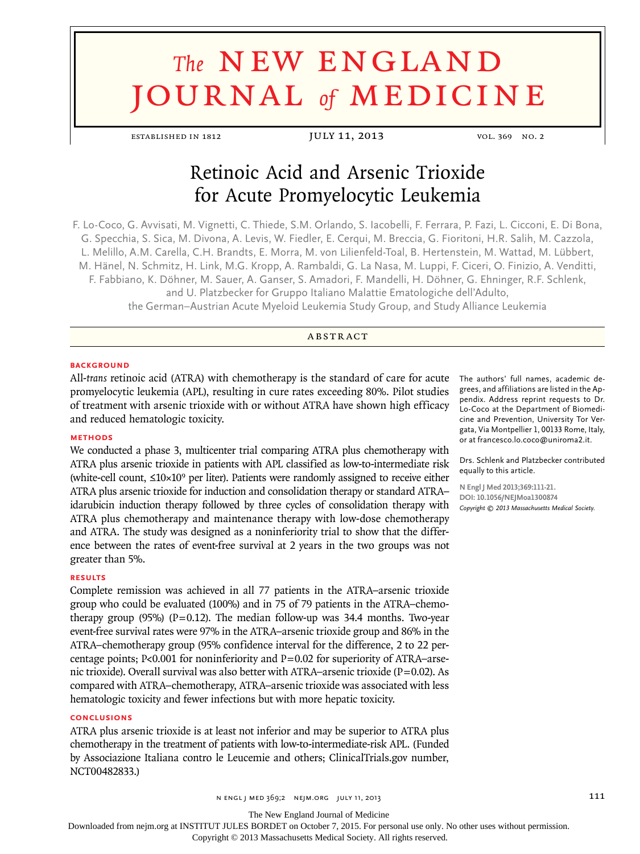# **The NEW ENGLAND** journal *of* medicine

ESTABLISHED IN 1812 **JULY 11, 2013** vol. 369 no. 2

# Retinoic Acid and Arsenic Trioxide for Acute Promyelocytic Leukemia

F. Lo-Coco, G. Avvisati, M. Vignetti, C. Thiede, S.M. Orlando, S. Iacobelli, F. Ferrara, P. Fazi, L. Cicconi, E. Di Bona, G. Specchia, S. Sica, M. Divona, A. Levis, W. Fiedler, E. Cerqui, M. Breccia, G. Fioritoni, H.R. Salih, M. Cazzola, L. Melillo, A.M. Carella, C.H. Brandts, E. Morra, M. von Lilienfeld-Toal, B. Hertenstein, M. Wattad, M. Lübbert, M. Hänel, N. Schmitz, H. Link, M.G. Kropp, A. Rambaldi, G. La Nasa, M. Luppi, F. Ciceri, O. Finizio, A. Venditti, F. Fabbiano, K. Döhner, M. Sauer, A. Ganser, S. Amadori, F. Mandelli, H. Döhner, G. Ehninger, R.F. Schlenk, and U. Platzbecker for Gruppo Italiano Malattie Ematologiche dell'Adulto,

the German–Austrian Acute Myeloid Leukemia Study Group, and Study Alliance Leukemia

# **ABSTRACT**

#### **BACKGROUND**

All-*trans* retinoic acid (ATRA) with chemotherapy is the standard of care for acute promyelocytic leukemia (APL), resulting in cure rates exceeding 80%. Pilot studies of treatment with arsenic trioxide with or without ATRA have shown high efficacy and reduced hematologic toxicity.

#### **Methods**

We conducted a phase 3, multicenter trial comparing ATRA plus chemotherapy with ATRA plus arsenic trioxide in patients with APL classified as low-to-intermediate risk (white-cell count,  $\leq 10 \times 10^{9}$  per liter). Patients were randomly assigned to receive either ATRA plus arsenic trioxide for induction and consolidation therapy or standard ATRA– idarubicin induction therapy followed by three cycles of consolidation therapy with ATRA plus chemotherapy and maintenance therapy with low-dose chemotherapy and ATRA. The study was designed as a noninferiority trial to show that the difference between the rates of event-free survival at 2 years in the two groups was not greater than 5%.

#### **Results**

Complete remission was achieved in all 77 patients in the ATRA–arsenic trioxide group who could be evaluated (100%) and in 75 of 79 patients in the ATRA–chemotherapy group (95%) ( $P=0.12$ ). The median follow-up was 34.4 months. Two-year event-free survival rates were 97% in the ATRA–arsenic trioxide group and 86% in the ATRA–chemotherapy group (95% confidence interval for the difference, 2 to 22 percentage points; P<0.001 for noninferiority and P=0.02 for superiority of ATRA–arsenic trioxide). Overall survival was also better with ATRA–arsenic trioxide ( $P=0.02$ ). As compared with ATRA–chemotherapy, ATRA–arsenic trioxide was associated with less hematologic toxicity and fewer infections but with more hepatic toxicity.

#### **Conclusions**

ATRA plus arsenic trioxide is at least not inferior and may be superior to ATRA plus chemotherapy in the treatment of patients with low-to-intermediate-risk APL. (Funded by Associazione Italiana contro le Leucemie and others; ClinicalTrials.gov number, NCT00482833.)

The authors' full names, academic degrees, and affiliations are listed in the Appendix. Address reprint requests to Dr. Lo-Coco at the Department of Biomedicine and Prevention, University Tor Vergata, Via Montpellier 1, 00133 Rome, Italy, or at francesco.lo.coco@uniroma2.it.

Drs. Schlenk and Platzbecker contributed equally to this article.

**N Engl J Med 2013;369:111-21. DOI: 10.1056/NEJMoa1300874** *Copyright © 2013 Massachusetts Medical Society.*

The New England Journal of Medicine

Downloaded from nejm.org at INSTITUT JULES BORDET on October 7, 2015. For personal use only. No other uses without permission.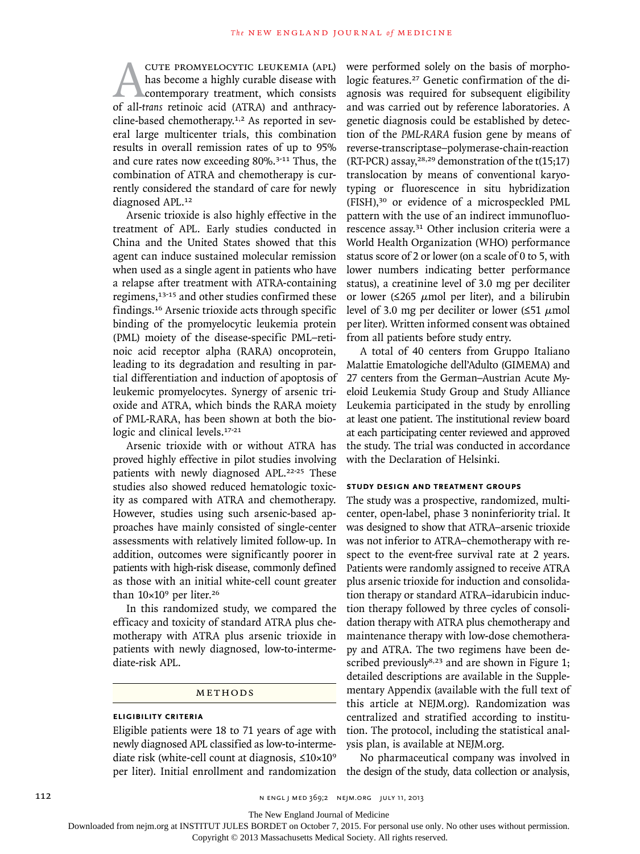**EXECUTE PROMYELOCYTIC LEUKEMIA (APL)**<br>has become a highly curable disease with<br>contemporary treatment, which consists<br>of all-*trans* retinoic acid (ATRA) and anthracyhas become a highly curable disease with contemporary treatment, which consists cline-based chemotherapy.<sup>1,2</sup> As reported in several large multicenter trials, this combination results in overall remission rates of up to 95% and cure rates now exceeding 80%.3-11 Thus, the combination of ATRA and chemotherapy is currently considered the standard of care for newly diagnosed APL.<sup>12</sup>

Arsenic trioxide is also highly effective in the treatment of APL. Early studies conducted in China and the United States showed that this agent can induce sustained molecular remission when used as a single agent in patients who have a relapse after treatment with ATRA-containing regimens,13-15 and other studies confirmed these findings.16 Arsenic trioxide acts through specific binding of the promyelocytic leukemia protein (PML) moiety of the disease-specific PML–retinoic acid receptor alpha (RARA) oncoprotein, leading to its degradation and resulting in partial differentiation and induction of apoptosis of leukemic promyelocytes. Synergy of arsenic trioxide and ATRA, which binds the RARA moiety of PML-RARA, has been shown at both the biologic and clinical levels.17-21

Arsenic trioxide with or without ATRA has proved highly effective in pilot studies involving patients with newly diagnosed APL.<sup>22-25</sup> These studies also showed reduced hematologic toxicity as compared with ATRA and chemotherapy. However, studies using such arsenic-based approaches have mainly consisted of single-center assessments with relatively limited follow-up. In addition, outcomes were significantly poorer in patients with high-risk disease, commonly defined as those with an initial white-cell count greater than  $10\times10^9$  per liter.<sup>26</sup>

In this randomized study, we compared the efficacy and toxicity of standard ATRA plus chemotherapy with ATRA plus arsenic trioxide in patients with newly diagnosed, low-to-intermediate-risk APL.

#### METHODS

#### **Eligibility Criteria**

Eligible patients were 18 to 71 years of age with newly diagnosed APL classified as low-to-intermediate risk (white-cell count at diagnosis, ≤10×10<sup>9</sup> per liter). Initial enrollment and randomization were performed solely on the basis of morphologic features.<sup>27</sup> Genetic confirmation of the diagnosis was required for subsequent eligibility and was carried out by reference laboratories. A genetic diagnosis could be established by detection of the *PML-RARA* fusion gene by means of reverse-transcriptase–polymerase-chain-reaction (RT-PCR) assay,  $28,29$  demonstration of the t(15;17) translocation by means of conventional karyotyping or fluorescence in situ hybridization (FISH),30 or evidence of a microspeckled PML pattern with the use of an indirect immunofluorescence assay.31 Other inclusion criteria were a World Health Organization (WHO) performance status score of 2 or lower (on a scale of 0 to 5, with lower numbers indicating better performance status), a creatinine level of 3.0 mg per deciliter or lower ( $\leq$ 265  $\mu$ mol per liter), and a bilirubin level of 3.0 mg per deciliter or lower  $(51 \mu \text{mol})$ per liter). Written informed consent was obtained from all patients before study entry.

A total of 40 centers from Gruppo Italiano Malattie Ematologiche dell'Adulto (GIMEMA) and 27 centers from the German–Austrian Acute Myeloid Leukemia Study Group and Study Alliance Leukemia participated in the study by enrolling at least one patient. The institutional review board at each participating center reviewed and approved the study. The trial was conducted in accordance with the Declaration of Helsinki.

# **Study Design and Treatment Groups**

The study was a prospective, randomized, multicenter, open-label, phase 3 noninferiority trial. It was designed to show that ATRA–arsenic trioxide was not inferior to ATRA–chemotherapy with respect to the event-free survival rate at 2 years. Patients were randomly assigned to receive ATRA plus arsenic trioxide for induction and consolidation therapy or standard ATRA–idarubicin induction therapy followed by three cycles of consolidation therapy with ATRA plus chemotherapy and maintenance therapy with low-dose chemotherapy and ATRA. The two regimens have been described previously $8,23$  and are shown in Figure 1; detailed descriptions are available in the Supplementary Appendix (available with the full text of this article at NEJM.org). Randomization was centralized and stratified according to institution. The protocol, including the statistical analysis plan, is available at NEJM.org.

No pharmaceutical company was involved in the design of the study, data collection or analysis,

112 **n engl j med 369;2 nejm.org july 11, 2013** 

The New England Journal of Medicine

Downloaded from nejm.org at INSTITUT JULES BORDET on October 7, 2015. For personal use only. No other uses without permission.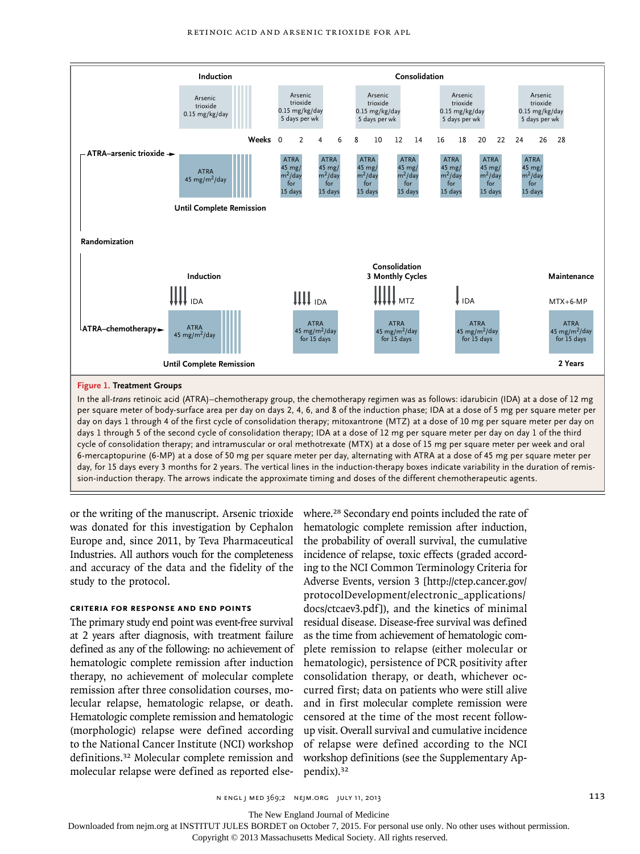

6-mercaptopurine (6-MP) at a dose of 50 mg per square meter per day, alternating with ATRA at a dose of 45 mg per square meter per day, for 15 days every 3 months for 2 years. The vertical lines in the induction-therapy boxes indicate variability in the duration of remisper square meter of body-surface area per day on days 2, 4, 6, and 8 of the induction phase; IDA at a dose of 5 mg per square meter per day on days 1 through 4 of the first cycle of consolidation therapy; mitoxantrone (MTZ) at a dose of 10 mg per square meter per day on days 1 through 5 of the second cycle of consolidation therapy; IDA at a dose of 12 mg per square meter per day on day 1 of the third cycle of consolidation therapy; and intramuscular or oral methotrexate (MTX) at a dose of 15 mg per square meter per week and oral sion-induction therapy. The arrows indicate the approximate timing and doses of the different chemotherapeutic agents.

or the writing of the manuscript. Arsenic trioxide was donated for this investigation by Cephalon Europe and, since 2011, by Teva Pharmaceutical Industries. All authors vouch for the completeness and accuracy of the data and the fidelity of the study to the protocol.

#### **Criteria for Response and End Points**

The primary study end point was event-free survival at 2 years after diagnosis, with treatment failure defined as any of the following: no achievement of hematologic complete remission after induction therapy, no achievement of molecular complete remission after three consolidation courses, molecular relapse, hematologic relapse, or death. Hematologic complete remission and hematologic (morphologic) relapse were defined according to the National Cancer Institute (NCI) workshop definitions.32 Molecular complete remission and molecular relapse were defined as reported elsewhere.<sup>28</sup> Secondary end points included the rate of hematologic complete remission after induction, the probability of overall survival, the cumulative incidence of relapse, toxic effects (graded according to the NCI Common Terminology Criteria for Adverse Events, version 3 [http://ctep.cancer.gov/ protocolDevelopment/electronic\_applications/ docs/ctcaev3.pdf]), and the kinetics of minimal residual disease. Disease-free survival was defined as the time from achievement of hematologic complete remission to relapse (either molecular or hematologic), persistence of PCR positivity after consolidation therapy, or death, whichever occurred first; data on patients who were still alive and in first molecular complete remission were censored at the time of the most recent followup visit. Overall survival and cumulative incidence of relapse were defined according to the NCI workshop definitions (see the Supplementary Appendix).<sup>32</sup>

The New England Journal of Medicine

Downloaded from nejm.org at INSTITUT JULES BORDET on October 7, 2015. For personal use only. No other uses without permission.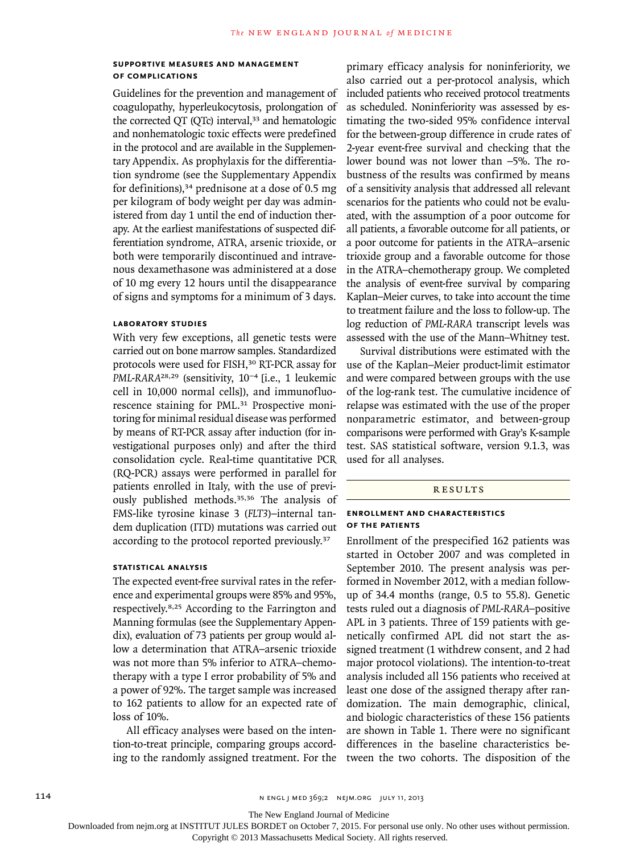# **Supportive Measures and Management of Complications**

Guidelines for the prevention and management of coagulopathy, hyperleukocytosis, prolongation of the corrected QT (QTc) interval,<sup>33</sup> and hematologic and nonhematologic toxic effects were predefined in the protocol and are available in the Supplementary Appendix. As prophylaxis for the differentiation syndrome (see the Supplementary Appendix for definitions), $34$  prednisone at a dose of 0.5 mg per kilogram of body weight per day was administered from day 1 until the end of induction therapy. At the earliest manifestations of suspected differentiation syndrome, ATRA, arsenic trioxide, or both were temporarily discontinued and intravenous dexamethasone was administered at a dose of 10 mg every 12 hours until the disappearance of signs and symptoms for a minimum of 3 days.

### **Laboratory Studies**

With very few exceptions, all genetic tests were carried out on bone marrow samples. Standardized protocols were used for FISH,<sup>30</sup> RT-PCR assay for *PML-RARA*28,29 (sensitivity, 10−4 [i.e., 1 leukemic cell in 10,000 normal cells]), and immunofluorescence staining for PML.31 Prospective monitoring for minimal residual disease was performed by means of RT-PCR assay after induction (for investigational purposes only) and after the third consolidation cycle. Real-time quantitative PCR (RQ-PCR) assays were performed in parallel for patients enrolled in Italy, with the use of previously published methods.35,36 The analysis of FMS-like tyrosine kinase 3 (*FLT3*)–internal tandem duplication (ITD) mutations was carried out according to the protocol reported previously.<sup>37</sup>

# **Statistical Analysis**

The expected event-free survival rates in the reference and experimental groups were 85% and 95%, respectively.8,25 According to the Farrington and Manning formulas (see the Supplementary Appendix), evaluation of 73 patients per group would allow a determination that ATRA–arsenic trioxide was not more than 5% inferior to ATRA–chemotherapy with a type I error probability of 5% and a power of 92%. The target sample was increased to 162 patients to allow for an expected rate of loss of 10%.

All efficacy analyses were based on the intention-to-treat principle, comparing groups according to the randomly assigned treatment. For the primary efficacy analysis for noninferiority, we also carried out a per-protocol analysis, which included patients who received protocol treatments as scheduled. Noninferiority was assessed by estimating the two-sided 95% confidence interval for the between-group difference in crude rates of 2-year event-free survival and checking that the lower bound was not lower than −5%. The robustness of the results was confirmed by means of a sensitivity analysis that addressed all relevant scenarios for the patients who could not be evaluated, with the assumption of a poor outcome for all patients, a favorable outcome for all patients, or a poor outcome for patients in the ATRA–arsenic trioxide group and a favorable outcome for those in the ATRA–chemotherapy group. We completed the analysis of event-free survival by comparing Kaplan–Meier curves, to take into account the time to treatment failure and the loss to follow-up. The log reduction of *PML-RARA* transcript levels was assessed with the use of the Mann–Whitney test.

Survival distributions were estimated with the use of the Kaplan–Meier product-limit estimator and were compared between groups with the use of the log-rank test. The cumulative incidence of relapse was estimated with the use of the proper nonparametric estimator, and between-group comparisons were performed with Gray's K-sample test. SAS statistical software, version 9.1.3, was used for all analyses.

#### **RESULTS**

#### **Enrollment and Characteristics of the Patients**

Enrollment of the prespecified 162 patients was started in October 2007 and was completed in September 2010. The present analysis was performed in November 2012, with a median followup of 34.4 months (range, 0.5 to 55.8). Genetic tests ruled out a diagnosis of *PML-RARA*–positive APL in 3 patients. Three of 159 patients with genetically confirmed APL did not start the assigned treatment (1 withdrew consent, and 2 had major protocol violations). The intention-to-treat analysis included all 156 patients who received at least one dose of the assigned therapy after randomization. The main demographic, clinical, and biologic characteristics of these 156 patients are shown in Table 1. There were no significant differences in the baseline characteristics between the two cohorts. The disposition of the

The New England Journal of Medicine

Downloaded from nejm.org at INSTITUT JULES BORDET on October 7, 2015. For personal use only. No other uses without permission.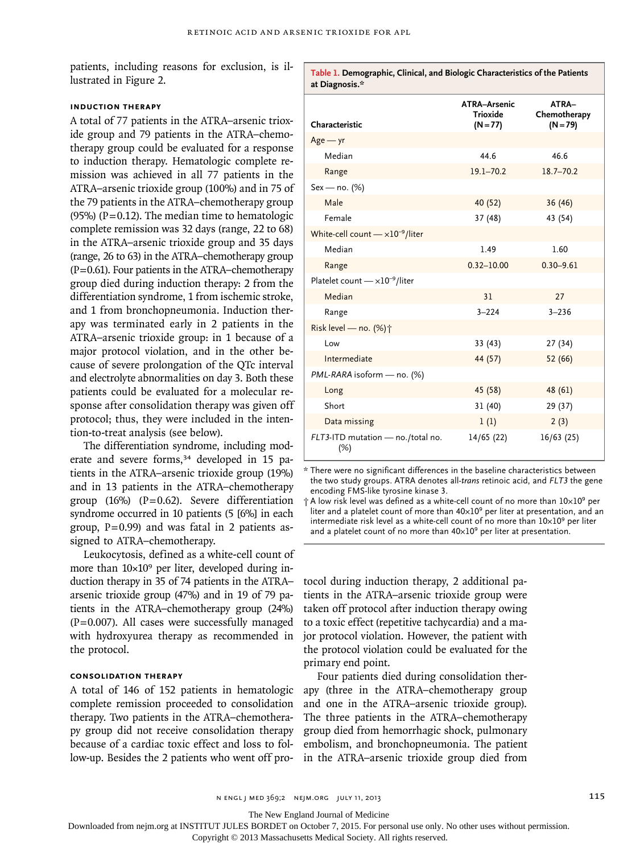patients, including reasons for exclusion, is illustrated in Figure 2.

#### **Induction Therapy**

A total of 77 patients in the ATRA–arsenic trioxide group and 79 patients in the ATRA–chemotherapy group could be evaluated for a response to induction therapy. Hematologic complete remission was achieved in all 77 patients in the ATRA–arsenic trioxide group (100%) and in 75 of the 79 patients in the ATRA–chemotherapy group (95%) ( $P = 0.12$ ). The median time to hematologic complete remission was 32 days (range, 22 to 68) in the ATRA–arsenic trioxide group and 35 days (range, 26 to 63) in the ATRA–chemotherapy group  $(P=0.61)$ . Four patients in the ATRA–chemotherapy group died during induction therapy: 2 from the differentiation syndrome, 1 from ischemic stroke, and 1 from bronchopneumonia. Induction therapy was terminated early in 2 patients in the ATRA–arsenic trioxide group: in 1 because of a major protocol violation, and in the other because of severe prolongation of the QTc interval and electrolyte abnormalities on day 3. Both these patients could be evaluated for a molecular response after consolidation therapy was given off protocol; thus, they were included in the intention-to-treat analysis (see below).

The differentiation syndrome, including moderate and severe forms,<sup>34</sup> developed in 15 patients in the ATRA–arsenic trioxide group (19%) and in 13 patients in the ATRA–chemotherapy group  $(16\%)$   $(P=0.62)$ . Severe differentiation syndrome occurred in 10 patients (5 [6%] in each group,  $P=0.99$ ) and was fatal in 2 patients assigned to ATRA–chemotherapy.

Leukocytosis, defined as a white-cell count of more than  $10\times10^9$  per liter, developed during induction therapy in 35 of 74 patients in the ATRA– arsenic trioxide group (47%) and in 19 of 79 patients in the ATRA–chemotherapy group (24%)  $(P=0.007)$ . All cases were successfully managed with hydroxyurea therapy as recommended in the protocol.

#### **Consolidation Therapy**

A total of 146 of 152 patients in hematologic apy (three in the ATRA–chemotherapy group complete remission proceeded to consolidation therapy. Two patients in the ATRA–chemotherapy group did not receive consolidation therapy because of a cardiac toxic effect and loss to follow-up. Besides the 2 patients who went off pro-

| Table 1. Demographic, Clinical, and Biologic Characteristics of the Patients<br>at Diagnosis.* |                                                    |                                     |
|------------------------------------------------------------------------------------------------|----------------------------------------------------|-------------------------------------|
| Characteristic                                                                                 | <b>ATRA-Arsenic</b><br><b>Trioxide</b><br>$(N=77)$ | ATRA-<br>Chemotherapy<br>$(N = 79)$ |
| $Age - yr$                                                                                     |                                                    |                                     |
| Median                                                                                         | 44.6                                               | 46.6                                |
| Range                                                                                          | $19.1 - 70.2$                                      | $18.7 - 70.2$                       |
| Sex - no. (%)                                                                                  |                                                    |                                     |
| Male                                                                                           | 40 (52)                                            | 36(46)                              |
| Female                                                                                         | 37 (48)                                            | 43 (54)                             |
| White-cell count $- \times 10^{-9}$ /liter                                                     |                                                    |                                     |
| Median                                                                                         | 1.49                                               | 1.60                                |
| Range                                                                                          | $0.32 - 10.00$                                     | $0.30 - 9.61$                       |
| Platelet count $-x10^{-9}$ /liter                                                              |                                                    |                                     |
| Median                                                                                         | 31                                                 | 27                                  |
| Range                                                                                          | $3 - 224$                                          | $3 - 236$                           |
| Risk level - no. (%)+                                                                          |                                                    |                                     |
| Low                                                                                            | 33 (43)                                            | 27 (34)                             |
| Intermediate                                                                                   | 44 (57)                                            | 52(66)                              |
| PML-RARA isoform - no. (%)                                                                     |                                                    |                                     |
| Long                                                                                           | 45 (58)                                            | 48 (61)                             |
| Short                                                                                          | 31 (40)                                            | 29 (37)                             |
| Data missing                                                                                   | 1(1)                                               | 2(3)                                |
| FLT3-ITD mutation - no./total no.<br>(%)                                                       | 14/65 (22)                                         | 16/63(25)                           |

\* There were no significant differences in the baseline characteristics between the two study groups. ATRA denotes all-*trans* retinoic acid, and *FLT3* the gene encoding FMS*-*like tyrosine kinase 3.

 $\dagger$  A low risk level was defined as a white-cell count of no more than  $10\times10^9$  per liter and a platelet count of more than  $40\times10^9$  per liter at presentation, and an intermediate risk level as a white-cell count of no more than  $10\times10^9$  per liter and a platelet count of no more than  $40\times10^9$  per liter at presentation.

tocol during induction therapy, 2 additional patients in the ATRA–arsenic trioxide group were taken off protocol after induction therapy owing to a toxic effect (repetitive tachycardia) and a major protocol violation. However, the patient with the protocol violation could be evaluated for the primary end point.

Four patients died during consolidation therand one in the ATRA–arsenic trioxide group). The three patients in the ATRA–chemotherapy group died from hemorrhagic shock, pulmonary embolism, and bronchopneumonia. The patient in the ATRA–arsenic trioxide group died from

The New England Journal of Medicine

Downloaded from nejm.org at INSTITUT JULES BORDET on October 7, 2015. For personal use only. No other uses without permission.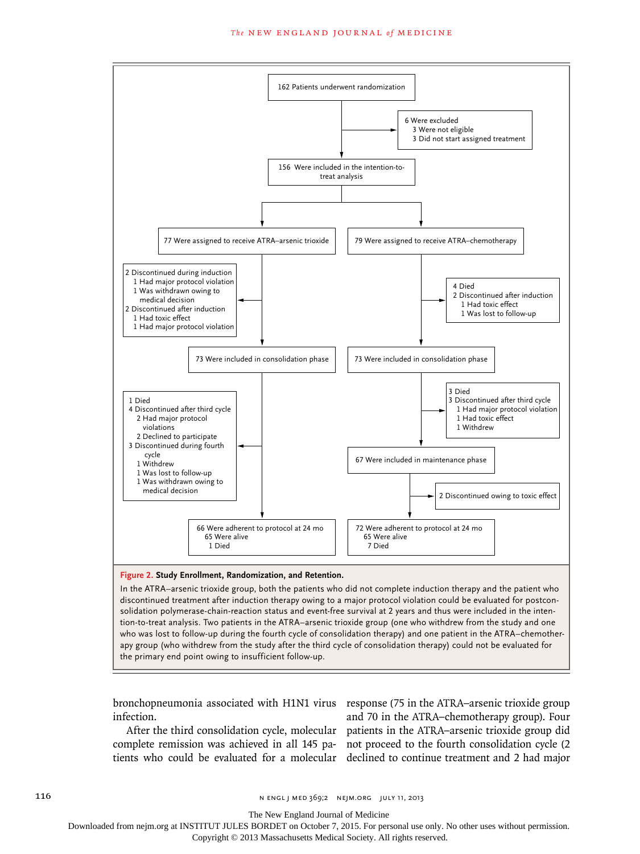#### The NEW ENGLAND JOURNAL of MEDICINE



### **Figure 2. Study Enrollment, Randomization, and Retention.**

In the ATRA–arsenic trioxide group, both the patients who did not complete induction therapy and the patient who discontinued treatment after induction therapy owing to a major protocol violation could be evaluated for postconsolidation polymerase-chain-reaction status and event-free survival at 2 years and thus were included in the intention-to-treat analysis. Two patients in the ATRA–arsenic trioxide group (one who withdrew from the study and one who was lost to follow-up during the fourth cycle of consolidation therapy) and one patient in the ATRA–chemotherapy group (who withdrew from the study after the third cycle of consolidation therapy) could not be evaluated for the primary end point owing to insufficient follow-up.

infection.

bronchopneumonia associated with H1N1 virus response (75 in the ATRA–arsenic trioxide group After the third consolidation cycle, molecular patients in the ATRA–arsenic trioxide group did complete remission was achieved in all 145 pa-not proceed to the fourth consolidation cycle (2 tients who could be evaluated for a molecular declined to continue treatment and 2 had major and 70 in the ATRA–chemotherapy group). Four

116 **n engl j med 369;2** N ENGL J MED 369;2 NEJM.ORG JULY 11, 2013

The New England Journal of Medicine

Downloaded from nejm.org at INSTITUT JULES BORDET on October 7, 2015. For personal use only. No other uses without permission.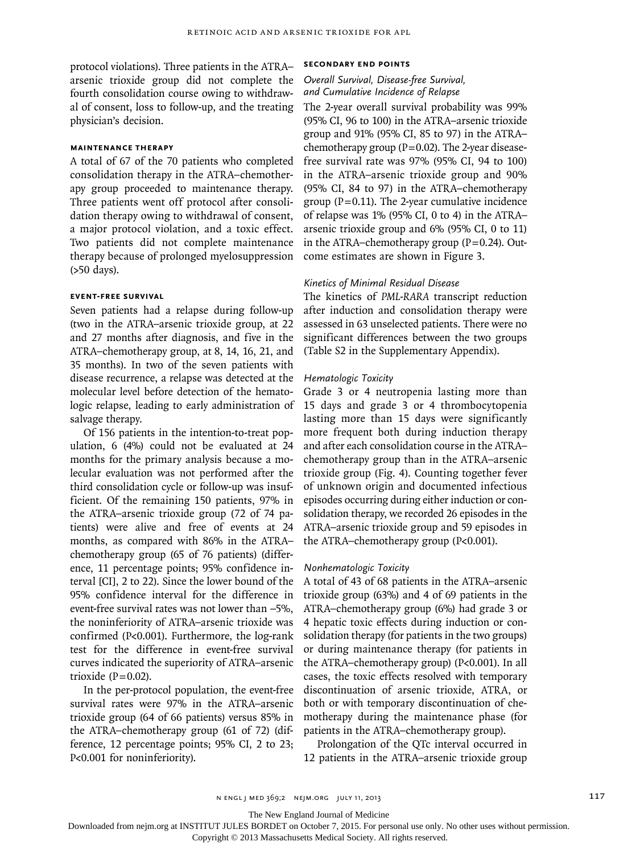protocol violations). Three patients in the ATRA– arsenic trioxide group did not complete the fourth consolidation course owing to withdrawal of consent, loss to follow-up, and the treating physician's decision.

#### **Maintenance Therapy**

A total of 67 of the 70 patients who completed consolidation therapy in the ATRA–chemotherapy group proceeded to maintenance therapy. Three patients went off protocol after consolidation therapy owing to withdrawal of consent, a major protocol violation, and a toxic effect. Two patients did not complete maintenance therapy because of prolonged myelosuppression (>50 days).

#### **Event-Free Survival**

Seven patients had a relapse during follow-up (two in the ATRA–arsenic trioxide group, at 22 and 27 months after diagnosis, and five in the ATRA–chemotherapy group, at 8, 14, 16, 21, and 35 months). In two of the seven patients with disease recurrence, a relapse was detected at the molecular level before detection of the hematologic relapse, leading to early administration of salvage therapy.

Of 156 patients in the intention-to-treat population, 6 (4%) could not be evaluated at 24 months for the primary analysis because a molecular evaluation was not performed after the third consolidation cycle or follow-up was insufficient. Of the remaining 150 patients, 97% in the ATRA–arsenic trioxide group (72 of 74 patients) were alive and free of events at 24 months, as compared with 86% in the ATRA– chemotherapy group (65 of 76 patients) (difference, 11 percentage points; 95% confidence interval [CI], 2 to 22). Since the lower bound of the 95% confidence interval for the difference in event-free survival rates was not lower than −5%, the noninferiority of ATRA–arsenic trioxide was confirmed (P<0.001). Furthermore, the log-rank test for the difference in event-free survival curves indicated the superiority of ATRA–arsenic trioxide  $(P=0.02)$ .

In the per-protocol population, the event-free survival rates were 97% in the ATRA–arsenic trioxide group (64 of 66 patients) versus 85% in the ATRA–chemotherapy group (61 of 72) (difference, 12 percentage points; 95% CI, 2 to 23; P<0.001 for noninferiority).

#### **Secondary End Points**

# *Overall Survival, Disease-free Survival, and Cumulative Incidence of Relapse*

The 2-year overall survival probability was 99% (95% CI, 96 to 100) in the ATRA–arsenic trioxide group and 91% (95% CI, 85 to 97) in the ATRA– chemotherapy group ( $P=0.02$ ). The 2-year diseasefree survival rate was 97% (95% CI, 94 to 100) in the ATRA–arsenic trioxide group and 90% (95% CI, 84 to 97) in the ATRA–chemotherapy group ( $P=0.11$ ). The 2-year cumulative incidence of relapse was 1% (95% CI, 0 to 4) in the ATRA– arsenic trioxide group and 6% (95% CI, 0 to 11) in the ATRA–chemotherapy group  $(P=0.24)$ . Outcome estimates are shown in Figure 3.

#### *Kinetics of Minimal Residual Disease*

The kinetics of *PML-RARA* transcript reduction after induction and consolidation therapy were assessed in 63 unselected patients. There were no significant differences between the two groups (Table S2 in the Supplementary Appendix).

#### *Hematologic Toxicity*

Grade 3 or 4 neutropenia lasting more than 15 days and grade 3 or 4 thrombocytopenia lasting more than 15 days were significantly more frequent both during induction therapy and after each consolidation course in the ATRA– chemotherapy group than in the ATRA–arsenic trioxide group (Fig. 4). Counting together fever of unknown origin and documented infectious episodes occurring during either induction or consolidation therapy, we recorded 26 episodes in the ATRA–arsenic trioxide group and 59 episodes in the ATRA–chemotherapy group (P<0.001).

#### *Nonhematologic Toxicity*

A total of 43 of 68 patients in the ATRA–arsenic trioxide group (63%) and 4 of 69 patients in the ATRA–chemotherapy group (6%) had grade 3 or 4 hepatic toxic effects during induction or consolidation therapy (for patients in the two groups) or during maintenance therapy (for patients in the ATRA–chemotherapy group) (P<0.001). In all cases, the toxic effects resolved with temporary discontinuation of arsenic trioxide, ATRA, or both or with temporary discontinuation of chemotherapy during the maintenance phase (for patients in the ATRA–chemotherapy group).

Prolongation of the QTc interval occurred in 12 patients in the ATRA–arsenic trioxide group

The New England Journal of Medicine

Downloaded from nejm.org at INSTITUT JULES BORDET on October 7, 2015. For personal use only. No other uses without permission.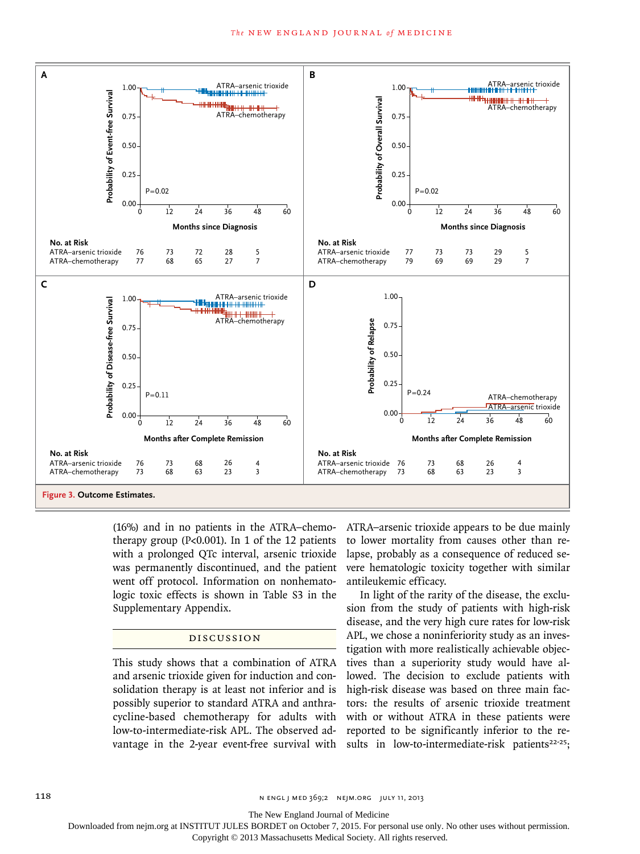

(16%) and in no patients in the ATRA–chemotherapy group  $(P<0.001)$ . In 1 of the 12 patients with a prolonged QTc interval, arsenic trioxide was permanently discontinued, and the patient went off protocol. Information on nonhematologic toxic effects is shown in Table S3 in the In lig Supplementary Appendix.

# Discussion

This study shows that a combination of ATRA and arsenic trioxide given for induction and consolidation therapy is at least not inferior and is possibly superior to standard ATRA and anthracycline-based chemotherapy for adults with low-to-intermediate-risk APL. The observed advantage in the 2-year event-free survival with sults in low-to-intermediate-risk patients<sup>22-25</sup>;

ATRA–arsenic trioxide appears to be due mainly to lower mortality from causes other than relapse, probably as a consequence of reduced severe hematologic toxicity together with similar antileukemic efficacy.

In light of the rarity of the disease, the exclusion from the study of patients with high-risk disease, and the very high cure rates for low-risk APL, we chose a noninferiority study as an investigation with more realistically achievable objectives than a superiority study would have allowed. The decision to exclude patients with high-risk disease was based on three main factors: the results of arsenic trioxide treatment with or without ATRA in these patients were reported to be significantly inferior to the re-

118 **118** N ENGL J MED 369;2 NEJM.ORG JULY 11, 2013

The New England Journal of Medicine

Downloaded from nejm.org at INSTITUT JULES BORDET on October 7, 2015. For personal use only. No other uses without permission.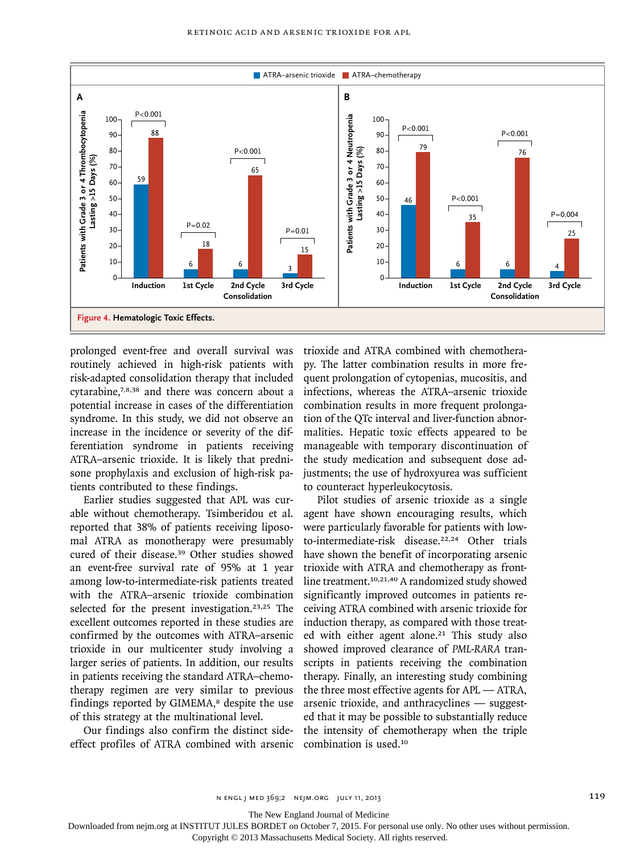

prolonged event-free and overall survival was routinely achieved in high-risk patients with risk-adapted consolidation therapy that included cytarabine,<sup>7,8,38</sup> and there was concern about a potential increase in cases of the differentiation syndrome. In this study, we did not observe an increase in the incidence or severity of the differentiation syndrome in patients receiving ATRA–arsenic trioxide. It is likely that prednisone prophylaxis and exclusion of high-risk patients contributed to these findings.

Earlier studies suggested that APL was curable without chemotherapy. Tsimberidou et al. reported that 38% of patients receiving liposomal ATRA as monotherapy were presumably cured of their disease.<sup>39</sup> Other studies showed an event-free survival rate of 95% at 1 year among low-to-intermediate-risk patients treated with the ATRA–arsenic trioxide combination selected for the present investigation.<sup>23,25</sup> The excellent outcomes reported in these studies are confirmed by the outcomes with ATRA–arsenic trioxide in our multicenter study involving a larger series of patients. In addition, our results in patients receiving the standard ATRA–chemotherapy regimen are very similar to previous findings reported by GIMEMA,<sup>8</sup> despite the use of this strategy at the multinational level.

Our findings also confirm the distinct sideeffect profiles of ATRA combined with arsenic

trioxide and ATRA combined with chemotherapy. The latter combination results in more frequent prolongation of cytopenias, mucositis, and infections, whereas the ATRA–arsenic trioxide combination results in more frequent prolongation of the QTc interval and liver-function abnormalities. Hepatic toxic effects appeared to be manageable with temporary discontinuation of the study medication and subsequent dose adjustments; the use of hydroxyurea was sufficient to counteract hyperleukocytosis.

Pilot studies of arsenic trioxide as a single agent have shown encouraging results, which were particularly favorable for patients with lowto-intermediate-risk disease.<sup>22,24</sup> Other trials have shown the benefit of incorporating arsenic trioxide with ATRA and chemotherapy as frontline treatment.10,21,40 A randomized study showed significantly improved outcomes in patients receiving ATRA combined with arsenic trioxide for induction therapy, as compared with those treated with either agent alone.<sup>21</sup> This study also showed improved clearance of *PML-RARA* transcripts in patients receiving the combination therapy. Finally, an interesting study combining the three most effective agents for APL — ATRA, arsenic trioxide, and anthracyclines — suggested that it may be possible to substantially reduce the intensity of chemotherapy when the triple combination is used.<sup>10</sup>

n engl j med 369;2 nejm.org july 11, 2013 119

The New England Journal of Medicine

Downloaded from nejm.org at INSTITUT JULES BORDET on October 7, 2015. For personal use only. No other uses without permission.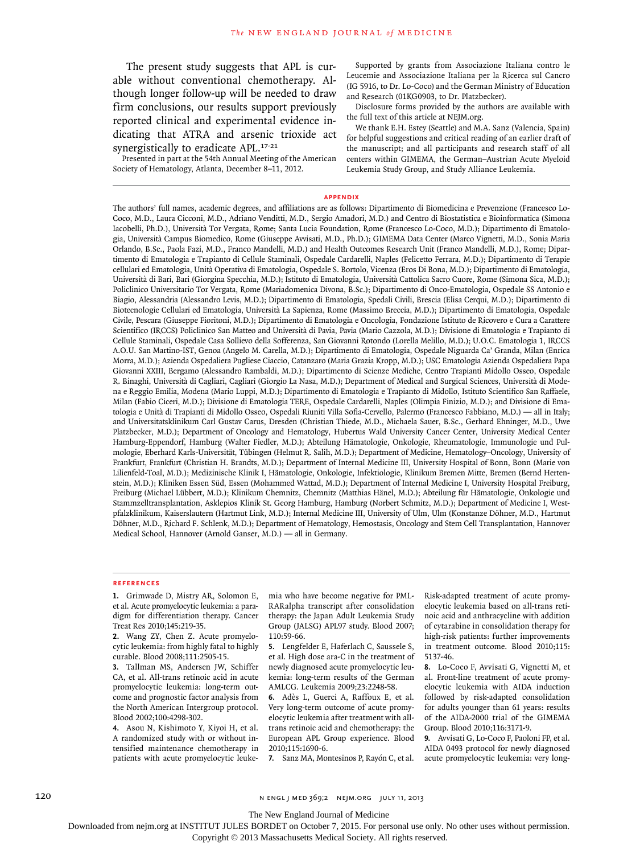The present study suggests that APL is curable without conventional chemotherapy. Although longer follow-up will be needed to draw firm conclusions, our results support previously reported clinical and experimental evidence indicating that ATRA and arsenic trioxide act synergistically to eradicate APL.<sup>17-21</sup>

Presented in part at the 54th Annual Meeting of the American Society of Hematology, Atlanta, December 8–11, 2012.

Supported by grants from Associazione Italiana contro le Leucemie and Associazione Italiana per la Ricerca sul Cancro (IG 5916, to Dr. Lo-Coco) and the German Ministry of Education and Research (01KG0903, to Dr. Platzbecker).

Disclosure forms provided by the authors are available with the full text of this article at NEJM.org.

We thank E.H. Estey (Seattle) and M.A. Sanz (Valencia, Spain) for helpful suggestions and critical reading of an earlier draft of the manuscript; and all participants and research staff of all centers within GIMEMA, the German–Austrian Acute Myeloid Leukemia Study Group, and Study Alliance Leukemia.

#### **Appendix**

The authors' full names, academic degrees, and affiliations are as follows: Dipartimento di Biomedicina e Prevenzione (Francesco Lo-Coco, M.D., Laura Cicconi, M.D., Adriano Venditti, M.D., Sergio Amadori, M.D.) and Centro di Biostatistica e Bioinformatica (Simona Iacobelli, Ph.D.), Università Tor Vergata, Rome; Santa Lucia Foundation, Rome (Francesco Lo-Coco, M.D.); Dipartimento di Ematologia, Università Campus Biomedico, Rome (Giuseppe Avvisati, M.D., Ph.D.); GIMEMA Data Center (Marco Vignetti, M.D., Sonia Maria Orlando, B.Sc., Paola Fazi, M.D., Franco Mandelli, M.D.) and Health Outcomes Research Unit (Franco Mandelli, M.D.), Rome; Dipartimento di Ematologia e Trapianto di Cellule Staminali, Ospedale Cardarelli, Naples (Felicetto Ferrara, M.D.); Dipartimento di Terapie cellulari ed Ematologia, Unità Operativa di Ematologia, Ospedale S. Bortolo, Vicenza (Eros Di Bona, M.D.); Dipartimento di Ematologia, Università di Bari, Bari (Giorgina Specchia, M.D.); Istituto di Ematologia, Università Cattolica Sacro Cuore, Rome (Simona Sica, M.D.); Policlinico Universitario Tor Vergata, Rome (Mariadomenica Divona, B.Sc.); Dipartimento di Onco-Ematologia, Ospedale SS Antonio e Biagio, Alessandria (Alessandro Levis, M.D.); Dipartimento di Ematologia, Spedali Civili, Brescia (Elisa Cerqui, M.D.); Dipartimento di Biotecnologie Cellulari ed Ematologia, Università La Sapienza, Rome (Massimo Breccia, M.D.); Dipartimento di Ematologia, Ospedale Civile, Pescara (Giuseppe Fioritoni, M.D.); Dipartimento di Ematologia e Oncologia, Fondazione Istituto de Ricovero e Cura a Carattere Scientifico (IRCCS) Policlinico San Matteo and Università di Pavia, Pavia (Mario Cazzola, M.D.); Divisione di Ematologia e Trapianto di Cellule Staminali, Ospedale Casa Sollievo della Sofferenza, San Giovanni Rotondo (Lorella Melillo, M.D.); U.O.C. Ematologia 1, IRCCS A.O.U. San Martino-IST, Genoa (Angelo M. Carella, M.D.); Dipartimento di Ematologia, Ospedale Niguarda Ca' Granda, Milan (Enrica Morra, M.D.); Azienda Ospedaliera Pugliese Ciaccio, Catanzaro (Maria Grazia Kropp, M.D.); USC Ematologia Azienda Ospedaliera Papa Giovanni XXIII, Bergamo (Alessandro Rambaldi, M.D.); Dipartimento di Scienze Mediche, Centro Trapianti Midollo Osseo, Ospedale R. Binaghi, Università di Cagliari, Cagliari (Giorgio La Nasa, M.D.); Department of Medical and Surgical Sciences, Università di Modena e Reggio Emilia, Modena (Mario Luppi, M.D.); Dipartimento di Ematologia e Trapianto di Midollo, Istituto Scientifico San Raffaele, Milan (Fabio Ciceri, M.D.); Divisione di Ematologia TERE, Ospedale Cardarelli, Naples (Olimpia Finizio, M.D.); and Divisione di Ematologia e Unità di Trapianti di Midollo Osseo, Ospedali Riuniti Villa Sofia-Cervello, Palermo (Francesco Fabbiano, M.D.) — all in Italy; and Universitatsklinikum Carl Gustav Carus, Dresden (Christian Thiede, M.D., Michaela Sauer, B.Sc., Gerhard Ehninger, M.D., Uwe Platzbecker, M.D.); Department of Oncology and Hematology, Hubertus Wald University Cancer Center, University Medical Center Hamburg-Eppendorf, Hamburg (Walter Fiedler, M.D.); Abteilung Hämatologie, Onkologie, Rheumatologie, Immunologie und Pulmologie, Eberhard Karls-Universität, Tübingen (Helmut R. Salih, M.D.); Department of Medicine, Hematology–Oncology, University of Frankfurt, Frankfurt (Christian H. Brandts, M.D.); Department of Internal Medicine III, University Hospital of Bonn, Bonn (Marie von Lilienfeld-Toal, M.D.); Medizinische Klinik I, Hämatologie, Onkologie, Infektiologie, Klinikum Bremen Mitte, Bremen (Bernd Hertenstein, M.D.); Kliniken Essen Süd, Essen (Mohammed Wattad, M.D.); Department of Internal Medicine I, University Hospital Freiburg, Freiburg (Michael Lübbert, M.D.); Klinikum Chemnitz, Chemnitz (Matthias Hänel, M.D.); Abteilung für Hämatologie, Onkologie und Stammzelltransplantation, Asklepios Klinik St. Georg Hamburg, Hamburg (Norbert Schmitz, M.D.); Department of Medicine I, Westpfalzklinikum, Kaiserslautern (Hartmut Link, M.D.); Internal Medicine III, University of Ulm, Ulm (Konstanze Döhner, M.D., Hartmut Döhner, M.D., Richard F. Schlenk, M.D.); Department of Hematology, Hemostasis, Oncology and Stem Cell Transplantation, Hannover Medical School, Hannover (Arnold Ganser, M.D.) — all in Germany.

#### **References**

**1.** Grimwade D, Mistry AR, Solomon E, et al. Acute promyelocytic leukemia: a paradigm for differentiation therapy. Cancer Treat Res 2010;145:219-35.

**2.** Wang ZY, Chen Z. Acute promyelocytic leukemia: from highly fatal to highly curable. Blood 2008;111:2505-15.

**3.** Tallman MS, Andersen JW, Schiffer CA, et al. All-trans retinoic acid in acute promyelocytic leukemia: long-term outcome and prognostic factor analysis from the North American Intergroup protocol. Blood 2002;100:4298-302.

**4.** Asou N, Kishimoto Y, Kiyoi H, et al. A randomized study with or without intensified maintenance chemotherapy in patients with acute promyelocytic leukemia who have become negative for PML-RARalpha transcript after consolidation therapy: the Japan Adult Leukemia Study Group (JALSG) APL97 study. Blood 2007; 110:59-66.

**5.** Lengfelder E, Haferlach C, Saussele S, et al. High dose ara-C in the treatment of newly diagnosed acute promyelocytic leukemia: long-term results of the German AMLCG. Leukemia 2009;23:2248-58.

**6.** Adès L, Guerci A, Raffoux E, et al. Very long-term outcome of acute promyelocytic leukemia after treatment with alltrans retinoic acid and chemotherapy: the European APL Group experience. Blood 2010;115:1690-6.

**7.** Sanz MA, Montesinos P, Rayón C, et al.

Risk-adapted treatment of acute promyelocytic leukemia based on all-trans retinoic acid and anthracycline with addition of cytarabine in consolidation therapy for high-risk patients: further improvements in treatment outcome. Blood 2010;115: 5137-46.

**8.** Lo-Coco F, Avvisati G, Vignetti M, et al. Front-line treatment of acute promyelocytic leukemia with AIDA induction followed by risk-adapted consolidation for adults younger than 61 years: results of the AIDA-2000 trial of the GIMEMA Group. Blood 2010;116:3171-9.

**9.** Avvisati G, Lo-Coco F, Paoloni FP, et al. AIDA 0493 protocol for newly diagnosed acute promyelocytic leukemia: very long-

120 **n engl j med 369;2 nejm.org july 11, 2013** 

The New England Journal of Medicine

Downloaded from nejm.org at INSTITUT JULES BORDET on October 7, 2015. For personal use only. No other uses without permission.